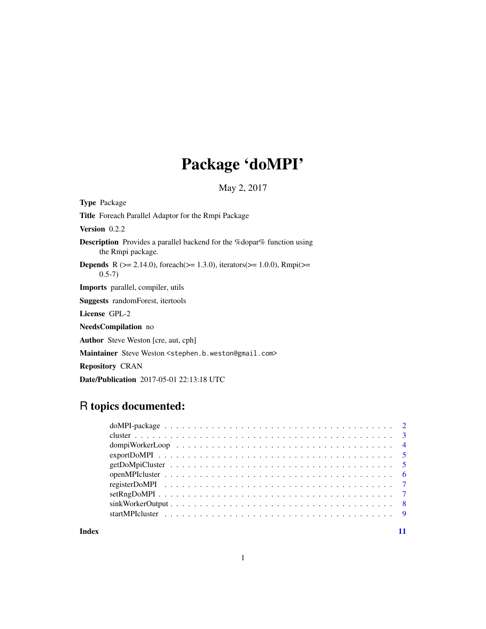# Package 'doMPI'

May 2, 2017

<span id="page-0-0"></span>

| <b>Type</b> Package                                                                                       |
|-----------------------------------------------------------------------------------------------------------|
| <b>Title</b> Foreach Parallel Adaptor for the Rmpi Package                                                |
| <b>Version</b> $0.2.2$                                                                                    |
| <b>Description</b> Provides a parallel backend for the %dopar% function using<br>the Rmpi package.        |
| <b>Depends</b> R ( $>= 2.14.0$ ), foreach( $>= 1.3.0$ ), iterators( $>= 1.0.0$ ), Rmpi( $>=$<br>$(0.5-7)$ |
| <b>Imports</b> parallel, compiler, utils                                                                  |
| <b>Suggests</b> random Forest, itertools                                                                  |
| License GPL-2                                                                                             |
| NeedsCompilation no                                                                                       |
| <b>Author</b> Steve Weston [cre, aut, cph]                                                                |
| Maintainer Steve Weston <stephen.b.weston@gmail.com></stephen.b.weston@gmail.com>                         |
| <b>Repository CRAN</b>                                                                                    |
| <b>Date/Publication</b> 2017-05-01 22:13:18 UTC                                                           |

R topics documented:

**Index** [11](#page-10-0)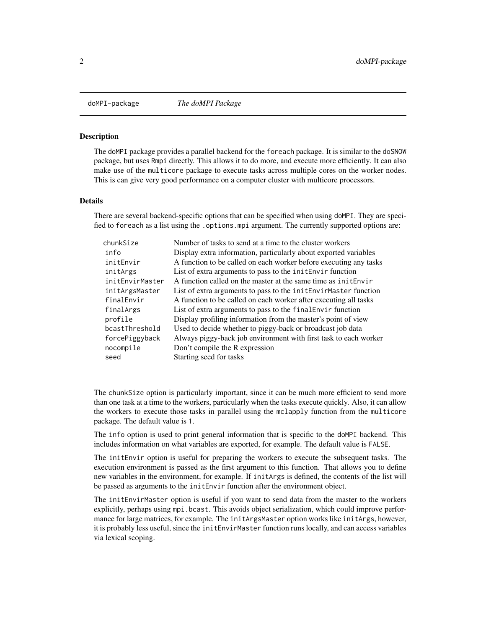<span id="page-1-1"></span><span id="page-1-0"></span>

#### Description

The doMPI package provides a parallel backend for the foreach package. It is similar to the doSNOW package, but uses Rmpi directly. This allows it to do more, and execute more efficiently. It can also make use of the multicore package to execute tasks across multiple cores on the worker nodes. This is can give very good performance on a computer cluster with multicore processors.

#### Details

There are several backend-specific options that can be specified when using doMPI. They are specified to foreach as a list using the .options.mpi argument. The currently supported options are:

| chunkSize       | Number of tasks to send at a time to the cluster workers          |
|-----------------|-------------------------------------------------------------------|
| info            | Display extra information, particularly about exported variables  |
| initEnvir       | A function to be called on each worker before executing any tasks |
| initArgs        | List of extra arguments to pass to the initenvir function         |
| initEnvirMaster | A function called on the master at the same time as initenvir     |
| initArgsMaster  | List of extra arguments to pass to the initenvir Master function  |
| finalEnvir      | A function to be called on each worker after executing all tasks  |
| finalArgs       | List of extra arguments to pass to the final Envir function       |
| profile         | Display profiling information from the master's point of view     |
| bcastThreshold  | Used to decide whether to piggy-back or broadcast job data        |
| forcePiggyback  | Always piggy-back job environment with first task to each worker  |
| nocompile       | Don't compile the R expression                                    |
| seed            | Starting seed for tasks                                           |
|                 |                                                                   |

The chunkSize option is particularly important, since it can be much more efficient to send more than one task at a time to the workers, particularly when the tasks execute quickly. Also, it can allow the workers to execute those tasks in parallel using the mclapply function from the multicore package. The default value is 1.

The info option is used to print general information that is specific to the doMPI backend. This includes information on what variables are exported, for example. The default value is FALSE.

The initEnvir option is useful for preparing the workers to execute the subsequent tasks. The execution environment is passed as the first argument to this function. That allows you to define new variables in the environment, for example. If initArgs is defined, the contents of the list will be passed as arguments to the initEnvir function after the environment object.

The initEnvirMaster option is useful if you want to send data from the master to the workers explicitly, perhaps using mpi.bcast. This avoids object serialization, which could improve performance for large matrices, for example. The initArgsMaster option works like initArgs, however, it is probably less useful, since the initEnvirMaster function runs locally, and can access variables via lexical scoping.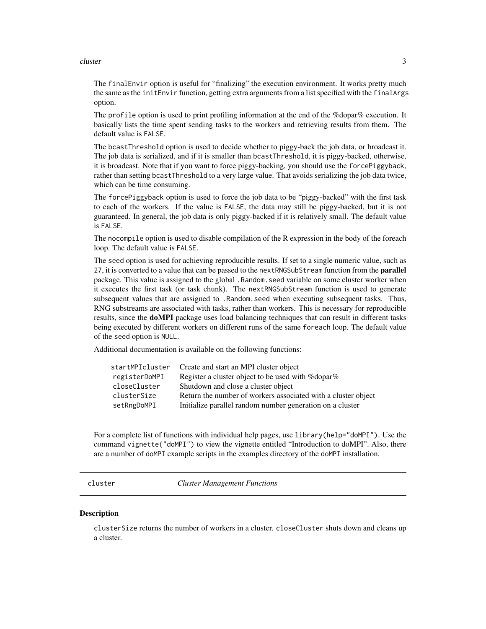#### <span id="page-2-0"></span>cluster 3

The finalEnvir option is useful for "finalizing" the execution environment. It works pretty much the same as the initEnvir function, getting extra arguments from a list specified with the finalArgs option.

The profile option is used to print profiling information at the end of the %dopar% execution. It basically lists the time spent sending tasks to the workers and retrieving results from them. The default value is FALSE.

The bcastThreshold option is used to decide whether to piggy-back the job data, or broadcast it. The job data is serialized, and if it is smaller than bcastThreshold, it is piggy-backed, otherwise, it is broadcast. Note that if you want to force piggy-backing, you should use the forcePiggyback, rather than setting bcastThreshold to a very large value. That avoids serializing the job data twice, which can be time consuming.

The forcePiggyback option is used to force the job data to be "piggy-backed" with the first task to each of the workers. If the value is FALSE, the data may still be piggy-backed, but it is not guaranteed. In general, the job data is only piggy-backed if it is relatively small. The default value is FALSE.

The nocompile option is used to disable compilation of the R expression in the body of the foreach loop. The default value is FALSE.

The seed option is used for achieving reproducible results. If set to a single numeric value, such as 27, it is converted to a value that can be passed to the nextRNGSubStream function from the **parallel** package. This value is assigned to the global .Random.seed variable on some cluster worker when it executes the first task (or task chunk). The nextRNGSubStream function is used to generate subsequent values that are assigned to .Random.seed when executing subsequent tasks. Thus, RNG substreams are associated with tasks, rather than workers. This is necessary for reproducible results, since the **doMPI** package uses load balancing techniques that can result in different tasks being executed by different workers on different runs of the same foreach loop. The default value of the seed option is NULL.

Additional documentation is available on the following functions:

| startMPIcluster | Create and start an MPI cluster object                        |
|-----------------|---------------------------------------------------------------|
| registerDoMPI   | Register a cluster object to be used with %dopar%             |
| closeCluster    | Shutdown and close a cluster object                           |
| clusterSize     | Return the number of workers associated with a cluster object |
| setRngDoMPI     | Initialize parallel random number generation on a cluster     |

For a complete list of functions with individual help pages, use library(help="doMPI"). Use the command vignette("doMPI") to view the vignette entitled "Introduction to doMPI". Also, there are a number of doMPI example scripts in the examples directory of the doMPI installation.

cluster *Cluster Management Functions*

#### **Description**

clusterSize returns the number of workers in a cluster. closeCluster shuts down and cleans up a cluster.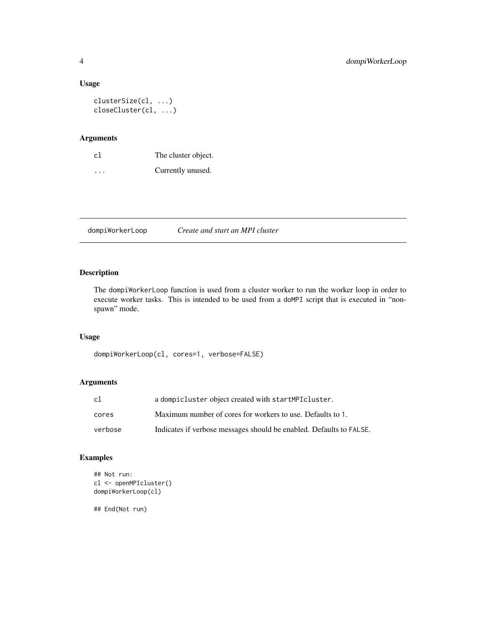## Usage

```
clusterSize(cl, ...)
closeCluster(cl, ...)
```
# Arguments

| c1                      | The cluster object. |
|-------------------------|---------------------|
| $\cdot$ $\cdot$ $\cdot$ | Currently unused.   |

dompiWorkerLoop *Create and start an MPI cluster*

# Description

The dompiWorkerLoop function is used from a cluster worker to run the worker loop in order to execute worker tasks. This is intended to be used from a doMPI script that is executed in "nonspawn" mode.

# Usage

dompiWorkerLoop(cl, cores=1, verbose=FALSE)

# Arguments

| cl      | a dompicluster object created with startMPIcluster.                 |
|---------|---------------------------------------------------------------------|
| cores   | Maximum number of cores for workers to use. Defaults to 1.          |
| verbose | Indicates if verbose messages should be enabled. Defaults to FALSE. |

# Examples

```
## Not run:
cl <- openMPIcluster()
dompiWorkerLoop(cl)
```
<span id="page-3-0"></span>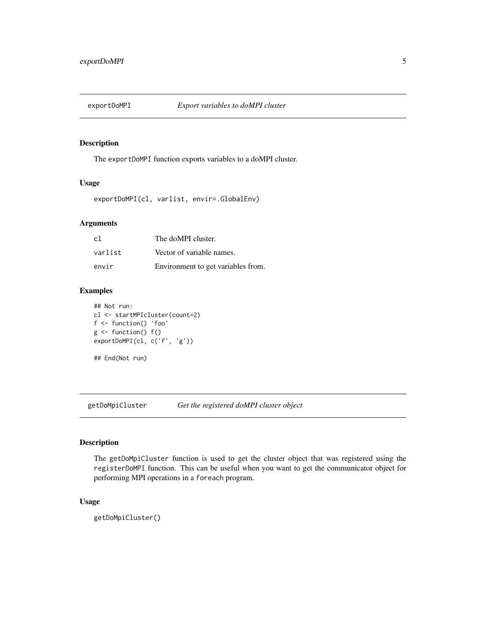<span id="page-4-0"></span>

# Description

The exportDoMPI function exports variables to a doMPI cluster.

# Usage

exportDoMPI(cl, varlist, envir=.GlobalEnv)

# Arguments

| c1      | The doMPI cluster.                 |
|---------|------------------------------------|
| varlist | Vector of variable names.          |
| envir   | Environment to get variables from. |

# Examples

```
## Not run:
cl <- startMPIcluster(count=2)
f <- function() 'foo'
g \leftarrow function() f()exportDoMPI(cl, c('f', 'g'))
## End(Not run)
```
getDoMpiCluster *Get the registered doMPI cluster object*

# Description

The getDoMpiCluster function is used to get the cluster object that was registered using the registerDoMPI function. This can be useful when you want to get the communicator object for performing MPI operations in a foreach program.

# Usage

getDoMpiCluster()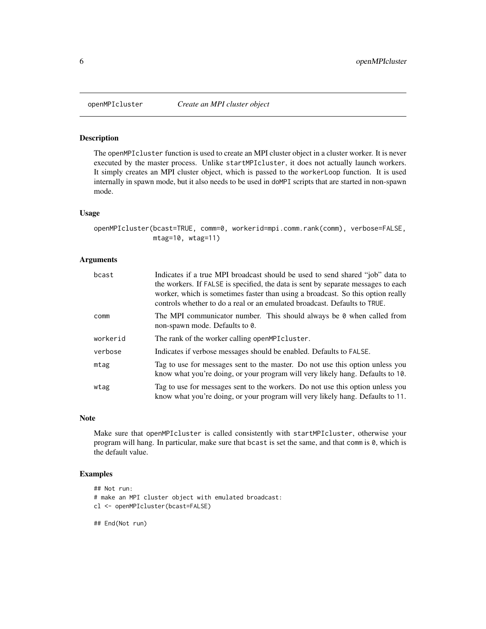<span id="page-5-0"></span>

#### Description

The openMPIcluster function is used to create an MPI cluster object in a cluster worker. It is never executed by the master process. Unlike startMPIcluster, it does not actually launch workers. It simply creates an MPI cluster object, which is passed to the workerLoop function. It is used internally in spawn mode, but it also needs to be used in doMPI scripts that are started in non-spawn mode.

#### Usage

```
openMPIcluster(bcast=TRUE, comm=0, workerid=mpi.comm.rank(comm), verbose=FALSE,
              mtag=10, wtag=11)
```
#### Arguments

| bcast    | Indicates if a true MPI broadcast should be used to send shared "job" data to<br>the workers. If FALSE is specified, the data is sent by separate messages to each<br>worker, which is sometimes faster than using a broadcast. So this option really<br>controls whether to do a real or an emulated broadcast. Defaults to TRUE. |
|----------|------------------------------------------------------------------------------------------------------------------------------------------------------------------------------------------------------------------------------------------------------------------------------------------------------------------------------------|
| comm     | The MPI communicator number. This should always be $\theta$ when called from<br>non-spawn mode. Defaults to 0.                                                                                                                                                                                                                     |
| workerid | The rank of the worker calling openMPIcluster.                                                                                                                                                                                                                                                                                     |
| verbose  | Indicates if verbose messages should be enabled. Defaults to FALSE.                                                                                                                                                                                                                                                                |
| mtag     | Tag to use for messages sent to the master. Do not use this option unless you<br>know what you're doing, or your program will very likely hang. Defaults to 10.                                                                                                                                                                    |
| wtag     | Tag to use for messages sent to the workers. Do not use this option unless you<br>know what you're doing, or your program will very likely hang. Defaults to 11.                                                                                                                                                                   |

#### Note

Make sure that openMPIcluster is called consistently with startMPIcluster, otherwise your program will hang. In particular, make sure that bcast is set the same, and that comm is 0, which is the default value.

# Examples

```
## Not run:
# make an MPI cluster object with emulated broadcast:
cl <- openMPIcluster(bcast=FALSE)
```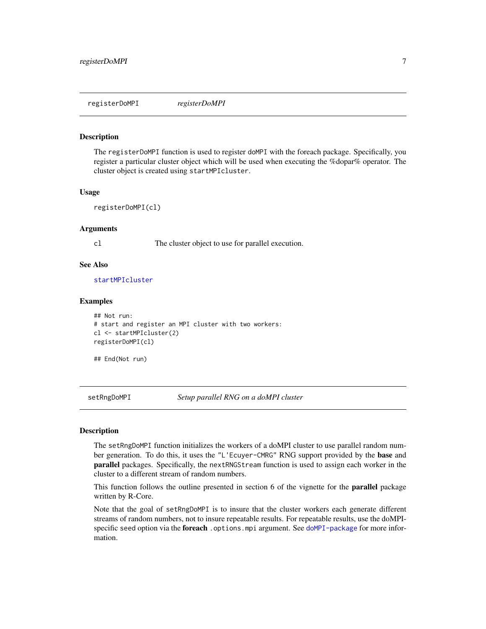<span id="page-6-0"></span>registerDoMPI *registerDoMPI*

#### Description

The registerDoMPI function is used to register doMPI with the foreach package. Specifically, you register a particular cluster object which will be used when executing the %dopar% operator. The cluster object is created using startMPIcluster.

# Usage

```
registerDoMPI(cl)
```
#### Arguments

cl The cluster object to use for parallel execution.

#### See Also

[startMPIcluster](#page-8-1)

#### Examples

```
## Not run:
# start and register an MPI cluster with two workers:
cl <- startMPIcluster(2)
registerDoMPI(cl)
```
## End(Not run)

setRngDoMPI *Setup parallel RNG on a doMPI cluster*

#### Description

The setRngDoMPI function initializes the workers of a doMPI cluster to use parallel random number generation. To do this, it uses the "L'Ecuyer-CMRG" RNG support provided by the base and parallel packages. Specifically, the nextRNGStream function is used to assign each worker in the cluster to a different stream of random numbers.

This function follows the outline presented in section 6 of the vignette for the **parallel** package written by R-Core.

Note that the goal of setRngDoMPI is to insure that the cluster workers each generate different streams of random numbers, not to insure repeatable results. For repeatable results, use the doMPIspecific seed option via the foreach .options.mpi argument. See [doMPI-package](#page-1-1) for more information.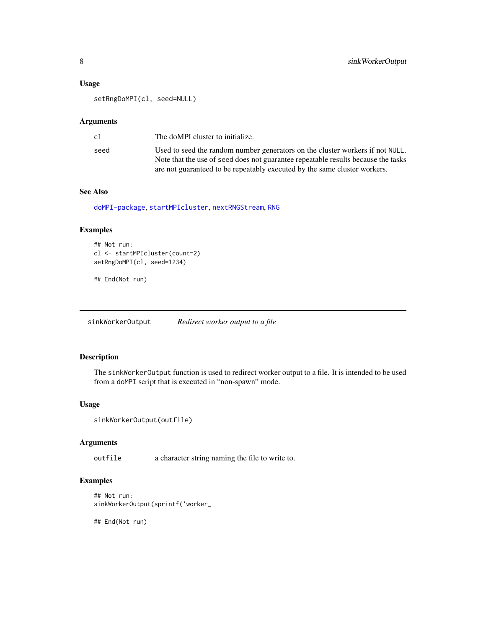# <span id="page-7-0"></span>Usage

setRngDoMPI(cl, seed=NULL)

#### Arguments

| cl   | The doMPI cluster to initialize.                                                  |
|------|-----------------------------------------------------------------------------------|
| seed | Used to seed the random number generators on the cluster workers if not NULL.     |
|      | Note that the use of seed does not guarantee repeatable results because the tasks |
|      | are not guaranteed to be repeatably executed by the same cluster workers.         |

# See Also

[doMPI-package](#page-1-1), [startMPIcluster](#page-8-1), [nextRNGStream](#page-0-0), [RNG](#page-0-0)

# Examples

```
## Not run:
cl <- startMPIcluster(count=2)
setRngDoMPI(cl, seed=1234)
```
## End(Not run)

sinkWorkerOutput *Redirect worker output to a file*

# Description

The sinkWorkerOutput function is used to redirect worker output to a file. It is intended to be used from a doMPI script that is executed in "non-spawn" mode.

#### Usage

```
sinkWorkerOutput(outfile)
```
## Arguments

outfile a character string naming the file to write to.

# Examples

```
## Not run:
sinkWorkerOutput(sprintf('worker_
```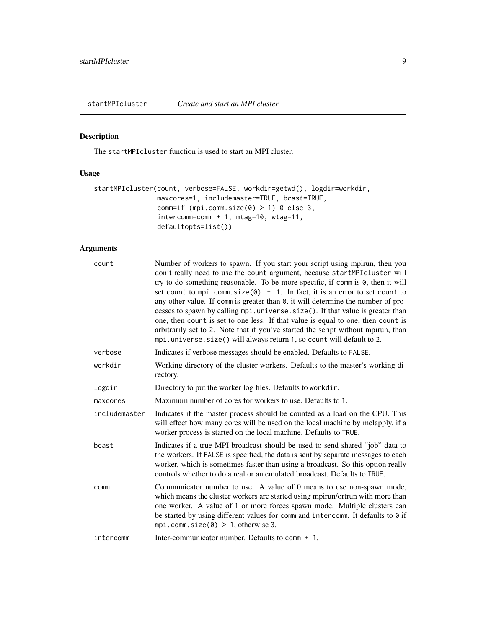<span id="page-8-1"></span><span id="page-8-0"></span>startMPIcluster *Create and start an MPI cluster*

# Description

The startMPIcluster function is used to start an MPI cluster.

# Usage

```
startMPIcluster(count, verbose=FALSE, workdir=getwd(), logdir=workdir,
                maxcores=1, includemaster=TRUE, bcast=TRUE,
                comm=if (mpi.comm.size(0) > 1) 0 else 3,
                intercomm=comm + 1, mtag=10, wtag=11,
                defaultopts=list())
```
# Arguments

| count         | Number of workers to spawn. If you start your script using mpirun, then you<br>don't really need to use the count argument, because startMPIcluster will<br>try to do something reasonable. To be more specific, if comm is 0, then it will<br>set count to mpi.comm.size(0) - 1. In fact, it is an error to set count to<br>any other value. If comm is greater than $\theta$ , it will determine the number of pro-<br>cesses to spawn by calling mpi.universe.size(). If that value is greater than<br>one, then count is set to one less. If that value is equal to one, then count is<br>arbitrarily set to 2. Note that if you've started the script without mpirun, than<br>mpi.universe.size() will always return 1, so count will default to 2. |
|---------------|----------------------------------------------------------------------------------------------------------------------------------------------------------------------------------------------------------------------------------------------------------------------------------------------------------------------------------------------------------------------------------------------------------------------------------------------------------------------------------------------------------------------------------------------------------------------------------------------------------------------------------------------------------------------------------------------------------------------------------------------------------|
| verbose       | Indicates if verbose messages should be enabled. Defaults to FALSE.                                                                                                                                                                                                                                                                                                                                                                                                                                                                                                                                                                                                                                                                                      |
| workdir       | Working directory of the cluster workers. Defaults to the master's working di-<br>rectory.                                                                                                                                                                                                                                                                                                                                                                                                                                                                                                                                                                                                                                                               |
| logdir        | Directory to put the worker log files. Defaults to workdir.                                                                                                                                                                                                                                                                                                                                                                                                                                                                                                                                                                                                                                                                                              |
| maxcores      | Maximum number of cores for workers to use. Defaults to 1.                                                                                                                                                                                                                                                                                                                                                                                                                                                                                                                                                                                                                                                                                               |
| includemaster | Indicates if the master process should be counted as a load on the CPU. This<br>will effect how many cores will be used on the local machine by mclapply, if a<br>worker process is started on the local machine. Defaults to TRUE.                                                                                                                                                                                                                                                                                                                                                                                                                                                                                                                      |
| bcast         | Indicates if a true MPI broadcast should be used to send shared "job" data to<br>the workers. If FALSE is specified, the data is sent by separate messages to each<br>worker, which is sometimes faster than using a broadcast. So this option really<br>controls whether to do a real or an emulated broadcast. Defaults to TRUE.                                                                                                                                                                                                                                                                                                                                                                                                                       |
| comm          | Communicator number to use. A value of 0 means to use non-spawn mode,<br>which means the cluster workers are started using mpirun/ortrun with more than<br>one worker. A value of 1 or more forces spawn mode. Multiple clusters can<br>be started by using different values for comm and intercomm. It defaults to 0 if<br>mpi.comm.size $(0) > 1$ , otherwise 3.                                                                                                                                                                                                                                                                                                                                                                                       |
| intercomm     | Inter-communicator number. Defaults to comm + 1.                                                                                                                                                                                                                                                                                                                                                                                                                                                                                                                                                                                                                                                                                                         |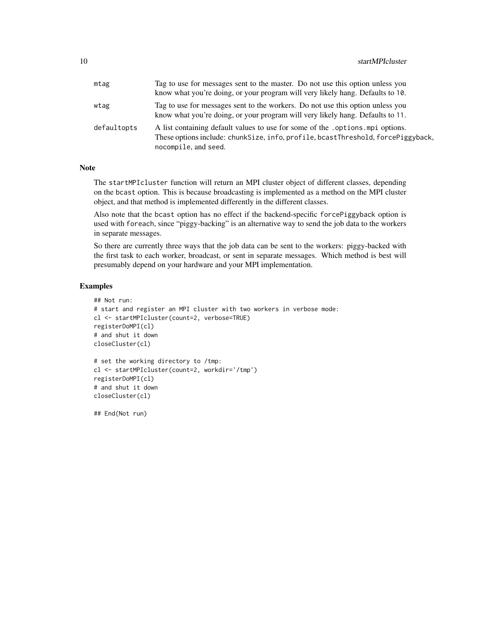| mtag        | Tag to use for messages sent to the master. Do not use this option unless you<br>know what you're doing, or your program will very likely hang. Defaults to 10.                             |
|-------------|---------------------------------------------------------------------------------------------------------------------------------------------------------------------------------------------|
| wtag        | Tag to use for messages sent to the workers. Do not use this option unless you<br>know what you're doing, or your program will very likely hang. Defaults to 11.                            |
| defaultopts | A list containing default values to use for some of the . options. mpi options.<br>These options include: chunkSize, info, profile, bcastThreshold, forcePiggyback,<br>nocompile, and seed. |

#### Note

The startMPIcluster function will return an MPI cluster object of different classes, depending on the bcast option. This is because broadcasting is implemented as a method on the MPI cluster object, and that method is implemented differently in the different classes.

Also note that the bcast option has no effect if the backend-specific forcePiggyback option is used with foreach, since "piggy-backing" is an alternative way to send the job data to the workers in separate messages.

So there are currently three ways that the job data can be sent to the workers: piggy-backed with the first task to each worker, broadcast, or sent in separate messages. Which method is best will presumably depend on your hardware and your MPI implementation.

#### Examples

```
## Not run:
# start and register an MPI cluster with two workers in verbose mode:
cl <- startMPIcluster(count=2, verbose=TRUE)
registerDoMPI(cl)
# and shut it down
closeCluster(cl)
# set the working directory to /tmp:
cl <- startMPIcluster(count=2, workdir='/tmp')
registerDoMPI(cl)
# and shut it down
closeCluster(cl)
```